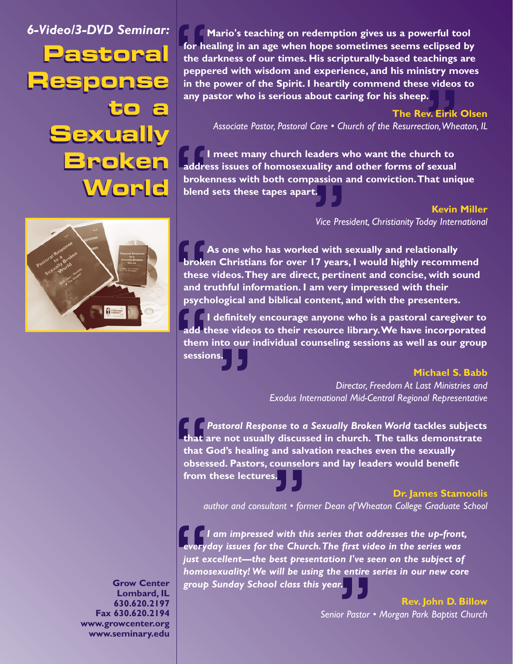**Pastoral Pastoral Response Response to a to a Sexually Sexually Broken Broken World World** *6-Video/3-DVD Seminar:*



**Grow Center Lombard, IL 630.620.2197 Fax 630.620.2194 www.growcenter.org www.seminary.edu**

for he<br>the da<br>peppe<br>in the<br>any pa **Mario's teaching on redemption gives us a powerful tool for healing in an age when hope sometimes seems eclipsed by the darkness of our times. His scripturally-based teachings are peppered with wisdom and experience, and his ministry moves in the power of the Spirit. I heartily commend these videos to any pastor who is serious about caring for his sheep.**

**The Rev. Eirik Olsen** *Associate Pastor, Pastoral Care • Church of the Resurrection,Wheaton, IL*

**).**<br>e**v. Eirik**<br>ttion, Whe<br>Irch to<br>isexual<br>'hat unid addre<br>broke<br>blend **I I** meet many church leaders who want the church to **address issues of homosexuality and other forms of sexual brokenness with both compassion and conviction.That unique blend sets these tapes apart.**

**Kevin Miller** *Vice President, Christianity Today International*

t.<br>Vice Pre:<br>ed with :<br>I7 years<br>:t, pertii broke<br>these<br>and tipsych<br>add ti **As one who has worked with sexually and relationally broken Christians for over 17 years, I would highly recommend these videos.They are direct, pertinent and concise, with sound and truthful information. I am very impressed with their psychological and biblical content, and with the presenters.**

add them<br>session **I definitely encourage anyone who is a pastoral caregiver to add these videos to their resource library.We have incorporated them into our individual counseling sessions as well as our group sessions.**

#### **Michael S. Babb**

*Director, Freedom At Last Ministries and Exodus International Mid-Central Regional Representative*

**that are not usually discussed in church. The talks demonstrate (S. Bab)**<br>Exodus International Mid-Central Regional Representative<br>**that are not usually discussed in church. The talks demonstrate**<br>The talks demonstrate That a<br>that cobses<br>from *Pastoral Response to a Sexually Broken World* **tackles subjects that God's healing and salvation reaches even the sexually obsessed. Pastors, counselors and lay leaders would benefit from these lectures.**

# **Dr. James Stamoolis**

*author and consultant • former Dean of Wheaton College Graduate School*

s.<br>|tant • for<br>| with th<br>!he Chur<br>best pres " *I am impressed with this series that addresses the up-front, everyday issues for the Church.The first video in the series was just excellent—the best presentation I've seen on the subject of homosexuality! We will be using the entire series in our new core group Sunday School class this year.*

r.<br>or Pastor<br> **Rev. John D. Billow** *Senior Pastor • Morgan Park Baptist Church*